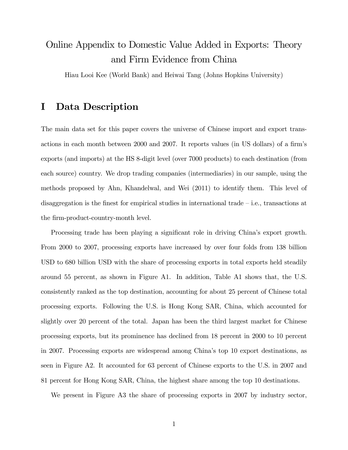## Online Appendix to Domestic Value Added in Exports: Theory and Firm Evidence from China

Hiau Looi Kee (World Bank) and Heiwai Tang (Johns Hopkins University)

### I Data Description

The main data set for this paper covers the universe of Chinese import and export transactions in each month between 2000 and 2007. It reports values (in US dollars) of a firm's exports (and imports) at the HS 8-digit level (over 7000 products) to each destination (from each source) country. We drop trading companies (intermediaries) in our sample, using the methods proposed by Ahn, Khandelwal, and Wei (2011) to identify them. This level of disaggregation is the finest for empirical studies in international trade  $\overline{-}i.e.,$  transactions at the firm-product-country-month level.

Processing trade has been playing a significant role in driving China's export growth. From 2000 to 2007, processing exports have increased by over four folds from 138 billion USD to 680 billion USD with the share of processing exports in total exports held steadily around 55 percent, as shown in Figure A1. In addition, Table A1 shows that, the U.S. consistently ranked as the top destination, accounting for about 25 percent of Chinese total processing exports. Following the U.S. is Hong Kong SAR, China, which accounted for slightly over 20 percent of the total. Japan has been the third largest market for Chinese processing exports, but its prominence has declined from 18 percent in 2000 to 10 percent in 2007. Processing exports are widespread among Chinaís top 10 export destinations, as seen in Figure A2. It accounted for 63 percent of Chinese exports to the U.S. in 2007 and 81 percent for Hong Kong SAR, China, the highest share among the top 10 destinations.

We present in Figure A3 the share of processing exports in 2007 by industry sector,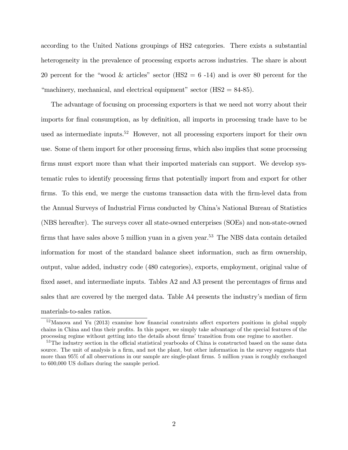according to the United Nations groupings of HS2 categories. There exists a substantial heterogeneity in the prevalence of processing exports across industries. The share is about 20 percent for the "wood & articles" sector (HS2 = 6 -14) and is over 80 percent for the "machinery, mechanical, and electrical equipment" sector  $(HS2 = 84-85)$ .

The advantage of focusing on processing exporters is that we need not worry about their imports for final consumption, as by definition, all imports in processing trade have to be used as intermediate inputs.<sup>52</sup> However, not all processing exporters import for their own use. Some of them import for other processing firms, which also implies that some processing firms must export more than what their imported materials can support. We develop systematic rules to identify processing Örms that potentially import from and export for other firms. To this end, we merge the customs transaction data with the firm-level data from the Annual Surveys of Industrial Firms conducted by Chinaís National Bureau of Statistics (NBS hereafter). The surveys cover all state-owned enterprises (SOEs) and non-state-owned firms that have sales above 5 million yuan in a given year.<sup>53</sup> The NBS data contain detailed information for most of the standard balance sheet information, such as firm ownership, output, value added, industry code (480 categories), exports, employment, original value of fixed asset, and intermediate inputs. Tables  $A2$  and  $A3$  present the percentages of firms and sales that are covered by the merged data. Table A4 presents the industry's median of firm materials-to-sales ratios.

 $52$ Manova and Yu (2013) examine how financial constraints affect exporters positions in global supply chains in China and thus their profits. In this paper, we simply take advantage of the special features of the processing regime without getting into the details about firms' transition from one regime to another.

<sup>&</sup>lt;sup>53</sup>The industry section in the official statistical yearbooks of China is constructed based on the same data source. The unit of analysis is a firm, and not the plant, but other information in the survey suggests that more than 95% of all observations in our sample are single-plant firms. 5 million yuan is roughly exchanged to 600,000 US dollars during the sample period.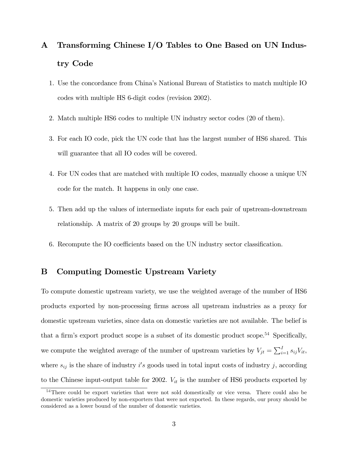# A Transforming Chinese I/O Tables to One Based on UN Industry Code

- 1. Use the concordance from Chinaís National Bureau of Statistics to match multiple IO codes with multiple HS 6-digit codes (revision 2002).
- 2. Match multiple HS6 codes to multiple UN industry sector codes (20 of them).
- 3. For each IO code, pick the UN code that has the largest number of HS6 shared. This will guarantee that all IO codes will be covered.
- 4. For UN codes that are matched with multiple IO codes, manually choose a unique UN code for the match. It happens in only one case.
- 5. Then add up the values of intermediate inputs for each pair of upstream-downstream relationship. A matrix of 20 groups by 20 groups will be built.
- 6. Recompute the IO coefficients based on the UN industry sector classification.

#### B Computing Domestic Upstream Variety

To compute domestic upstream variety, we use the weighted average of the number of HS6 products exported by non-processing Örms across all upstream industries as a proxy for domestic upstream varieties, since data on domestic varieties are not available. The belief is that a firm's export product scope is a subset of its domestic product scope.<sup>54</sup> Specifically, we compute the weighted average of the number of upstream varieties by  $V_{jt} = \sum_{i=1}^{I} s_{ij} V_{it}$ , where  $s_{ij}$  is the share of industry i's goods used in total input costs of industry j, according to the Chinese input-output table for 2002.  $V_{it}$  is the number of HS6 products exported by

<sup>&</sup>lt;sup>54</sup>There could be export varieties that were not sold domestically or vice versa. There could also be domestic varieties produced by non-exporters that were not exported. In these regards, our proxy should be considered as a lower bound of the number of domestic varieties.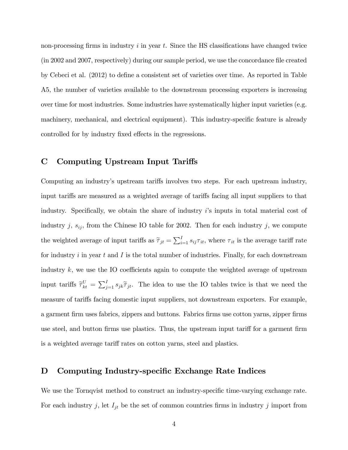non-processing firms in industry  $i$  in year  $t$ . Since the HS classifications have changed twice (in 2002 and 2007, respectively) during our sample period, we use the concordance file created by Cebeci et al. (2012) to define a consistent set of varieties over time. As reported in Table A5, the number of varieties available to the downstream processing exporters is increasing over time for most industries. Some industries have systematically higher input varieties (e.g. machinery, mechanical, and electrical equipment). This industry-specific feature is already controlled for by industry fixed effects in the regressions.

#### C Computing Upstream Input Tariffs

Computing an industry's upstream tariffs involves two steps. For each upstream industry, input tariffs are measured as a weighted average of tariffs facing all input suppliers to that industry. Specifically, we obtain the share of industry  $i$ 's inputs in total material cost of industry j,  $s_{ij}$ , from the Chinese IO table for 2002. Then for each industry j, we compute the weighted average of input tariffs as  $\tilde{\tau}_{jt} = \sum_{i=1}^{I} s_{ij} \tau_{it}$ , where  $\tau_{it}$  is the average tariff rate for industry  $i$  in year  $t$  and  $I$  is the total number of industries. Finally, for each downstream industry  $k$ , we use the IO coefficients again to compute the weighted average of upstream input tariffs  $\tilde{\tau}_{kt}^U = \sum_{j=1}^I s_{jk} \tilde{\tau}_{jt}$ . The idea to use the IO tables twice is that we need the measure of tariffs facing domestic input suppliers, not downstream exporters. For example, a garment firm uses fabrics, zippers and buttons. Fabrics firms use cotton yarns, zipper firms use steel, and button firms use plastics. Thus, the upstream input tariff for a garment firm is a weighted average tariff rates on cotton yarns, steel and plastics.

#### D Computing Industry-specific Exchange Rate Indices

We use the Tornqvist method to construct an industry-specific time-varying exchange rate. For each industry j, let  $I_{jt}$  be the set of common countries firms in industry j import from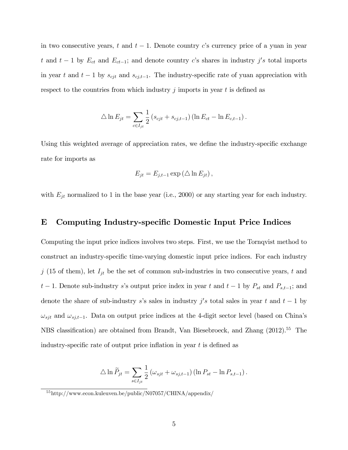in two consecutive years, t and  $t-1$ . Denote country c's currency price of a yuan in year t and  $t-1$  by  $E_{ct}$  and  $E_{ct-1}$ ; and denote country c's shares in industry j's total imports in year t and  $t-1$  by  $s_{cjt}$  and  $s_{cjt-1}$ . The industry-specific rate of yuan appreciation with respect to the countries from which industry  $j$  imports in year  $t$  is defined as

$$
\triangle \ln E_{jt} = \sum_{c \in I_{jt}} \frac{1}{2} (s_{cjt} + s_{cj,t-1}) (\ln E_{ct} - \ln E_{c,t-1}).
$$

Using this weighted average of appreciation rates, we define the industry-specific exchange rate for imports as

$$
E_{jt} = E_{j,t-1} \exp \left(\Delta \ln E_{jt}\right),\,
$$

with  $E_{jt}$  normalized to 1 in the base year (i.e., 2000) or any starting year for each industry.

#### E Computing Industry-specific Domestic Input Price Indices

Computing the input price indices involves two steps. First, we use the Tornqvist method to construct an industry-specific time-varying domestic input price indices. For each industry j (15 of them), let  $I_{jt}$  be the set of common sub-industries in two consecutive years, t and  $t-1$ . Denote sub-industry s's output price index in year t and  $t-1$  by  $P_{st}$  and  $P_{s,t-1}$ ; and denote the share of sub-industry s's sales in industry  $j's$  total sales in year t and  $t-1$  by  $\omega_{sjt}$  and  $\omega_{sj,t-1}$ . Data on output price indices at the 4-digit sector level (based on China's NBS classification) are obtained from Brandt, Van Biesebroeck, and Zhang (2012).<sup>55</sup> The industry-specific rate of output price inflation in year  $t$  is defined as

$$
\Delta \ln \widetilde{P}_{jt} = \sum_{s \in I_{jt}} \frac{1}{2} \left( \omega_{sjt} + \omega_{sj,t-1} \right) \left( \ln P_{st} - \ln P_{s,t-1} \right).
$$

<sup>55</sup>http://www.econ.kuleuven.be/public/N07057/CHINA/appendix/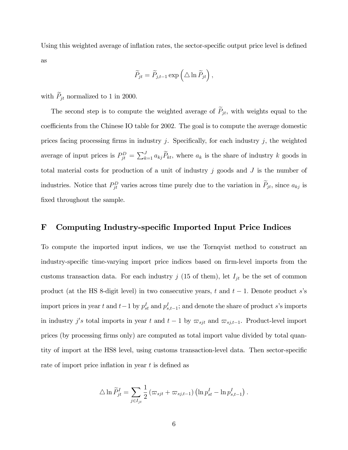Using this weighted average of inflation rates, the sector-specific output price level is defined as

$$
\widetilde{P}_{jt} = \widetilde{P}_{j,t-1} \exp \left( \triangle \ln \widetilde{P}_{jt} \right),\,
$$

with  $\widetilde{P}_{it}$  normalized to 1 in 2000.

The second step is to compute the weighted average of  $P_{jt}$ , with weights equal to the coefficients from the Chinese IO table for 2002. The goal is to compute the average domestic prices facing processing firms in industry j. Specifically, for each industry j, the weighted average of input prices is  $P_{jt}^D = \sum_{k=1}^J a_{kj} \widetilde{P}_{kt}$ , where  $a_k$  is the share of industry k goods in total material costs for production of a unit of industry j goods and  $J$  is the number of industries. Notice that  $P_{jt}^D$  varies across time purely due to the variation in  $P_{jt}$ , since  $a_{kj}$  is fixed throughout the sample.

#### F Computing Industry-specific Imported Input Price Indices

To compute the imported input indices, we use the Tornqvist method to construct an industry-specific time-varying import price indices based on firm-level imports from the customs transaction data. For each industry  $j$  (15 of them), let  $I_{jt}$  be the set of common product (at the HS 8-digit level) in two consecutive years, t and  $t-1$ . Denote product s's import prices in year t and  $t-1$  by  $p_{st}^I$  and  $p_{s,t-1}^I$ ; and denote the share of product s's imports in industry  $j's$  total imports in year t and  $t-1$  by  $\varpi_{sjt}$  and  $\varpi_{sj,t-1}$ . Product-level import prices (by processing Örms only) are computed as total import value divided by total quantity of import at the HS8 level, using customs transaction-level data. Then sector-specific rate of import price inflation in year  $t$  is defined as

$$
\Delta \ln \widetilde{P}_{jt}^I = \sum_{j \in I_{jt}} \frac{1}{2} \left( \varpi_{sjt} + \varpi_{sj,t-1} \right) \left( \ln p_{st}^I - \ln p_{s,t-1}^I \right).
$$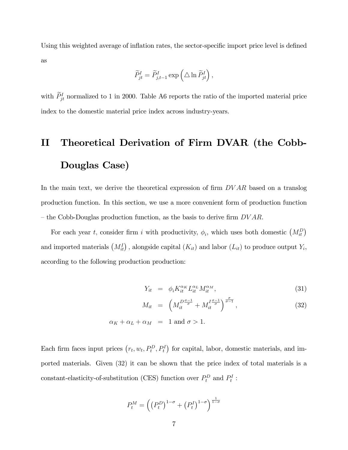Using this weighted average of inflation rates, the sector-specific import price level is defined as

$$
\widetilde{P}_{jt}^I = \widetilde{P}_{j,t-1}^I \exp\left(\triangle \ln \widetilde{P}_{jt}^I\right),
$$

with  $P_{jt}^I$  normalized to 1 in 2000. Table A6 reports the ratio of the imported material price index to the domestic material price index across industry-years.

# II Theoretical Derivation of Firm DVAR (the Cobb-Douglas Case)

In the main text, we derive the theoretical expression of firm  $DVAR$  based on a translog production function. In this section, we use a more convenient form of production function – the Cobb-Douglas production function, as the basis to derive firm  $DVAR$ .

For each year t, consider firm i with productivity,  $\phi_i$ , which uses both domestic  $\left(M_{it}^D\right)$ and imported materials  $(M_{it}^I)$ , alongside capital  $(K_{it})$  and labor  $(L_{it})$  to produce output  $Y_i$ , according to the following production production:

$$
Y_{it} = \phi_i K_{it}^{\alpha_K} L_{it}^{\alpha_L} M_{it}^{\alpha_M}, \qquad (31)
$$

$$
M_{it} = \left( M_{it}^{D \frac{\sigma - 1}{\sigma}} + M_{it}^{I \frac{\sigma - 1}{\sigma}} \right)^{\frac{\sigma}{\sigma - 1}}, \tag{32}
$$

$$
\alpha_K + \alpha_L + \alpha_M = 1 \text{ and } \sigma > 1.
$$

Each firm faces input prices  $(r_t, w_t, P_t^D, P_t^I)$  for capital, labor, domestic materials, and imported materials. Given (32) it can be shown that the price index of total materials is a constant-elasticity-of-substitution (CES) function over  $P_t^D$  and  $P_t^I$ :

$$
P_t^M = \left( \left( P_t^D \right)^{1-\sigma} + \left( P_t^I \right)^{1-\sigma} \right)^{\frac{1}{1-\sigma}}
$$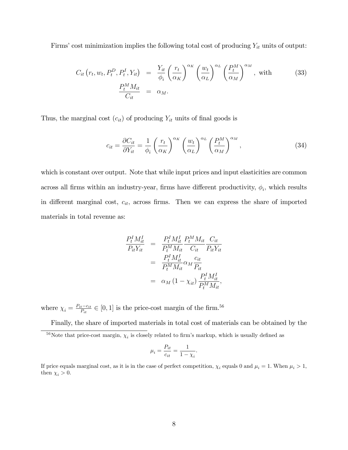Firms' cost minimization implies the following total cost of producing  $Y_{it}$  units of output:

$$
C_{it}\left(r_t, w_t, P_t^D, P_t^I, Y_{it}\right) = \frac{Y_{it}}{\phi_i} \left(\frac{r_t}{\alpha_K}\right)^{\alpha_K} \left(\frac{w_t}{\alpha_L}\right)^{\alpha_L} \left(\frac{P_t^M}{\alpha_M}\right)^{\alpha_M}, \text{ with}
$$
\n
$$
\frac{P_t^M M_{it}}{C_{it}} = \alpha_M.
$$
\n(33)

Thus, the marginal cost  $(c_{it})$  of producing  $Y_{it}$  units of final goods is

$$
c_{it} = \frac{\partial C_{it}}{\partial Y_{it}} = \frac{1}{\phi_i} \left(\frac{r_t}{\alpha_K}\right)^{\alpha_K} \left(\frac{w_t}{\alpha_L}\right)^{\alpha_L} \left(\frac{P_t^M}{\alpha_M}\right)^{\alpha_M},\tag{34}
$$

which is constant over output. Note that while input prices and input elasticities are common across all firms within an industry-year, firms have different productivity,  $\phi_i$ , which results in different marginal cost,  $c_{it}$ , across firms. Then we can express the share of imported materials in total revenue as:

$$
\frac{P_t^I M_{it}^I}{P_{it} Y_{it}} = \frac{P_t^I M_{it}^I}{P_t^M M_{it}} \frac{P_t^M M_{it}}{C_{it}} \frac{C_{it}}{P_{it} Y_{it}}
$$
\n
$$
= \frac{P_t^I M_{it}^I}{P_t^M M_{it}} \alpha_M \frac{c_{it}}{P_{it}}
$$
\n
$$
= \alpha_M (1 - \chi_{it}) \frac{P_t^I M_{it}^I}{P_t^M M_{it}},
$$

where  $\chi_i = \frac{P_{it} - c_{it}}{P_{it}} \in [0, 1]$  is the price-cost margin of the firm.<sup>56</sup>

Finally, the share of imported materials in total cost of materials can be obtained by the

$$
\mu_i = \frac{P_{it}}{c_{it}} = \frac{1}{1 - \chi_i}.
$$

<sup>&</sup>lt;sup>56</sup>Note that price-cost margin,  $\chi_i$  is closely related to firm's markup, which is usually defined as

If price equals marginal cost, as it is in the case of perfect competition,  $\chi_i$  equals 0 and  $\mu_i = 1$ . When  $\mu_i > 1$ , then  $\chi_i > 0$ .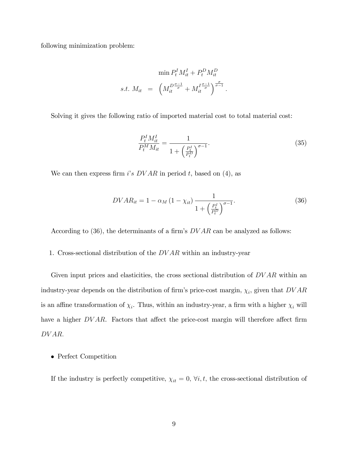following minimization problem:

$$
\min P_t^I M_{it}^I + P_t^D M_{it}^D
$$
  
s.t. 
$$
M_{it} = \left( M_{it}^{D\frac{\sigma-1}{\sigma}} + M_{it}^{I\frac{\sigma-1}{\sigma}} \right)^{\frac{\sigma}{\sigma-1}}.
$$

Solving it gives the following ratio of imported material cost to total material cost:

$$
\frac{P_t^I M_{it}^I}{P_t^M M_{it}} = \frac{1}{1 + \left(\frac{P_t^I}{P_t^D}\right)^{\sigma - 1}}.
$$
\n(35)

We can then express firm i's  $DVAR$  in period t, based on (4), as

$$
DVAR_{it} = 1 - \alpha_M (1 - \chi_{it}) \frac{1}{1 + \left(\frac{P_t^I}{P_t^D}\right)^{\sigma - 1}}.
$$
\n(36)

According to  $(36)$ , the determinants of a firm's  $DVAR$  can be analyzed as follows:

1. Cross-sectional distribution of the DV AR within an industry-year

Given input prices and elasticities, the cross sectional distribution of  $DVAR$  within an industry-year depends on the distribution of firm's price-cost margin,  $\chi_i$ , given that  $DVAR$ is an affine transformation of  $\chi_i$ . Thus, within an industry-year, a firm with a higher  $\chi_i$  will have a higher  $DVAR$ . Factors that affect the price-cost margin will therefore affect firm DV AR:

• Perfect Competition

If the industry is perfectly competitive,  $\chi_{it} = 0$ ,  $\forall i, t$ , the cross-sectional distribution of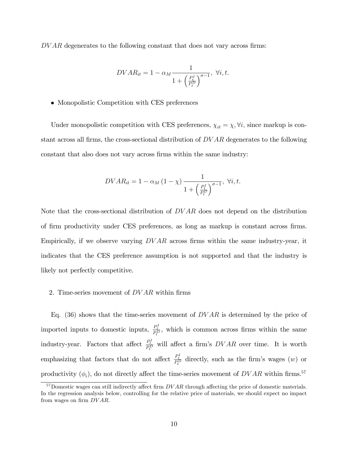$DVAR$  degenerates to the following constant that does not vary across firms:

$$
DVAR_{it} = 1 - \alpha_M \frac{1}{1 + \left(\frac{P_t^I}{P_t^D}\right)^{\sigma - 1}}, \ \forall i, t.
$$

Monopolistic Competition with CES preferences

Under monopolistic competition with CES preferences,  $\chi_{it} = \chi, \forall i$ , since markup is constant across all firms, the cross-sectional distribution of  $DVAR$  degenerates to the following constant that also does not vary across Örms within the same industry:

$$
DVAR_{it} = 1 - \alpha_M \left(1 - \chi\right) \frac{1}{1 + \left(\frac{P_t^I}{P_t^D}\right)^{\sigma - 1}}, \ \forall i, t.
$$

Note that the cross-sectional distribution of  $DVAR$  does not depend on the distribution of Örm productivity under CES preferences, as long as markup is constant across Örms. Empirically, if we observe varying  $DVAR$  across firms within the same industry-year, it indicates that the CES preference assumption is not supported and that the industry is likely not perfectly competitive.

#### 2. Time-series movement of  $DVAR$  within firms

Eq. (36) shows that the time-series movement of  $DVAR$  is determined by the price of imported inputs to domestic inputs,  $\frac{P_t^I}{P_t^D}$ , which is common across firms within the same industry-year. Factors that affect  $\frac{P_t^I}{P_t^D}$  will affect a firm's  $DVAR$  over time. It is worth emphasizing that factors that do not affect  $\frac{P_t^I}{P_t^D}$  directly, such as the firm's wages  $(w)$  or productivity  $(\phi_i)$ , do not directly affect the time-series movement of  $DVAR$  within firms.<sup>57</sup>

 $57$ Domestic wages can still indirectly affect firm  $DVAR$  through affecting the price of domestic materials. In the regression analysis below, controlling for the relative price of materials, we should expect no impact from wages on firm  $DVAR$ .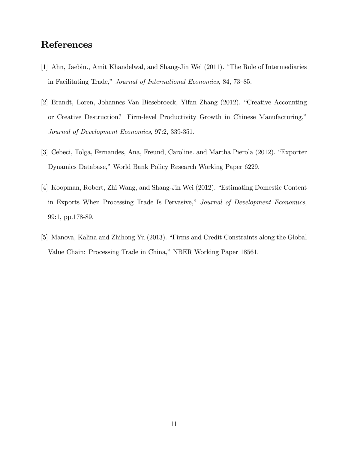## References

- [1] Ahn, Jaebin., Amit Khandelwal, and Shang-Jin Wei (2011). "The Role of Intermediaries in Facilitating Trade," Journal of International Economics, 84, 73-85.
- [2] Brandt, Loren, Johannes Van Biesebroeck, Yifan Zhang (2012). "Creative Accounting or Creative Destruction? Firm-level Productivity Growth in Chinese Manufacturing," Journal of Development Economics, 97:2, 339-351.
- [3] Cebeci, Tolga, Fernandes, Ana, Freund, Caroline. and Martha Pierola (2012). "Exporter Dynamics Database," World Bank Policy Research Working Paper 6229.
- [4] Koopman, Robert, Zhi Wang, and Shang-Jin Wei (2012). "Estimating Domestic Content in Exports When Processing Trade Is Pervasive," Journal of Development Economics, 99:1, pp.178-89.
- [5] Manova, Kalina and Zhihong Yu (2013). "Firms and Credit Constraints along the Global Value Chain: Processing Trade in China," NBER Working Paper 18561.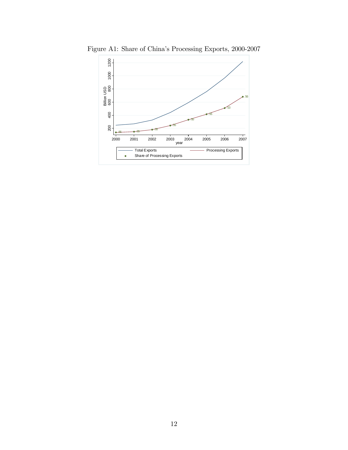

Figure A1: Share of China's Processing Exports, 2000-2007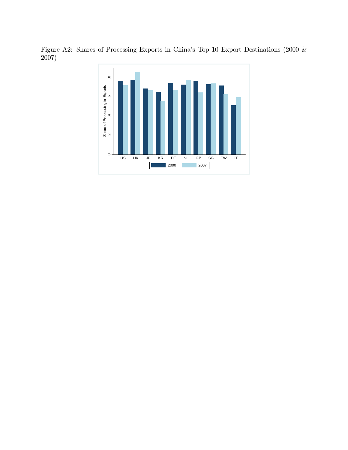Figure A2: Shares of Processing Exports in China's Top 10 Export Destinations (2000 & 2007)

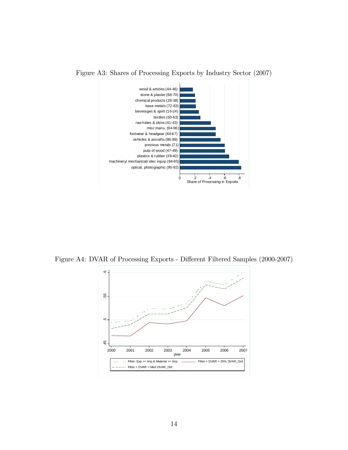

Figure A3: Shares of Processing Exports by Industry Sector (2007)

Figure A4: DVAR of Processing Exports - Different Filtered Samples (2000-2007)

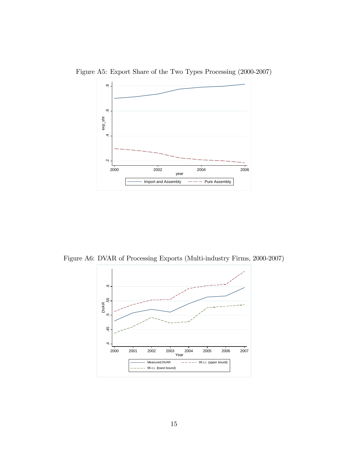

Figure A5: Export Share of the Two Types Processing (2000-2007)

Figure A6: DVAR of Processing Exports (Multi-industry Firms, 2000-2007)

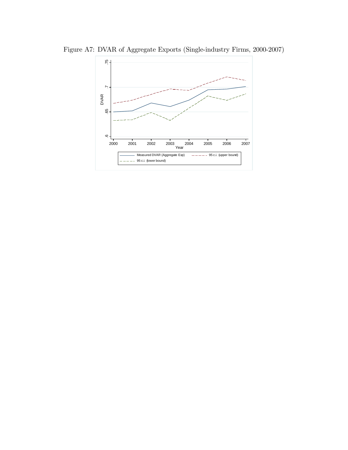

Figure A7: DVAR of Aggregate Exports (Single-industry Firms, 2000-2007)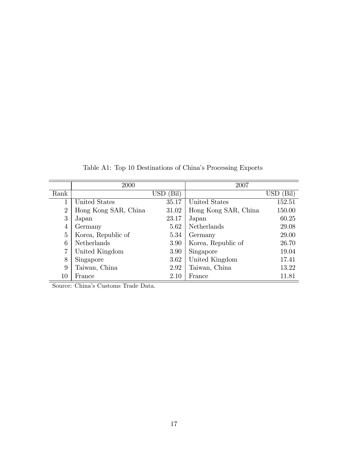|                | 2000                 |               | 2007                 |              |
|----------------|----------------------|---------------|----------------------|--------------|
| Rank           |                      | $USD$ $(Bil)$ |                      | (Bil)<br>USD |
| 1              | United States        | 35.17         | United States        | 152.51       |
| $\overline{2}$ | Hong Kong SAR, China | 31.02         | Hong Kong SAR, China | 150.00       |
| 3              | Japan                | 23.17         | Japan                | 60.25        |
| $\overline{4}$ | Germany              | 5.62          | Netherlands          | 29.08        |
| 5              | Korea, Republic of   | 5.34          | Germany              | 29.00        |
| 6              | <b>Netherlands</b>   | 3.90          | Korea, Republic of   | 26.70        |
| 7              | United Kingdom       | 3.90          | Singapore            | 19.04        |
| 8              | Singapore            | 3.62          | United Kingdom       | 17.41        |
| 9              | Taiwan, China        | 2.92          | Taiwan, China        | 13.22        |
| $10\,$         | France               | 2.10          | France               | 11.81        |

Table A1: Top 10 Destinations of China's Processing Exports

Source: China's Customs Trade Data.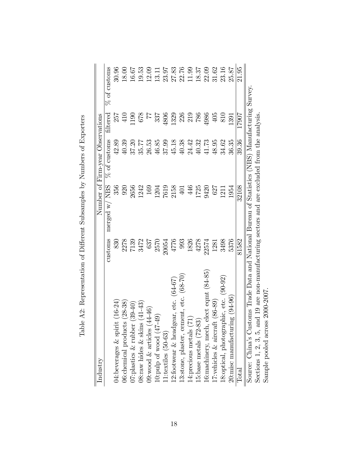| Industry                                                                                         |                      |               | Number of Firm-year Observations |                   |                |
|--------------------------------------------------------------------------------------------------|----------------------|---------------|----------------------------------|-------------------|----------------|
|                                                                                                  | customs              | merged w/ NBS | $\%$ of customs                  | filtered          | $%$ of customs |
| $(16-24)$<br>04: beverages $&$ spirit                                                            | 830                  | 356           | 42.89                            | 257               | 30.96          |
| $(28 - 38)$<br>06: chemical products                                                             |                      | 920           | 40.39                            | 410               | 18.00          |
| $(39-40)$<br>$07$ : plastics & rubber                                                            | 2278<br>7139<br>3472 | 2656          | 37.20                            | 190               | 16.67          |
| $(41 - 43)$<br>$08$ :raw hides & skins                                                           |                      | 1242          | 35.77                            | 678               | 19.53          |
| 09: wood $\&$ articles $(44-46)$                                                                 | 637                  | <b>169</b>    | 26.53                            | $\overline{77}$   | 12.09          |
| 10: pulp of wood $(47-49)$                                                                       | 2570                 | 1204          | 46.85                            | 337               | 13.11          |
| $11$ :textiles $(50-63)$                                                                         | 20054                | 7619          | 37.99                            | 1806              | 23.97          |
| 12:footwear & headgear, etc. $(64-67)$                                                           | 4776                 | 2158          | 45.18                            | 1329              | 27.83          |
| $13:$ stone, plaster, cement, etc. $(68-70)$                                                     | 993                  | 401           | 40.38                            | 226               | 22.76          |
| 14: precious metals (71                                                                          | 1826                 | 446           | 24.42                            | <b>219</b><br>786 | 11.99          |
| [5:base metals $(72-83)$                                                                         | 4278                 | 1725          | 40.32                            |                   | 18.37          |
| 16:machinery, mech, elect eqmt (84-85)                                                           | 22574                | 9420          | 41.73                            | 1986              | 22.09          |
| $(86-89)$<br>17:vehicles & aircraft                                                              | 1281                 | 627           | 48.95                            | $405$             | 31.62          |
| 18:optical, photographic, etc. (90-92)                                                           | 3498                 | 1211          | 34.62                            | 810               | 23.16          |
| $20:\text{mise manufacturering}$ (94-96)                                                         | 5376                 | 1954          | 36.35                            | 1391              | 25.87          |
| $\rm{Total}$                                                                                     | 81582                | 32108         | 39.36                            | 17907             | 21.95          |
| Source: China's Customs Trade Data and National Bureau of Statistics (NBS) Manufacturing Survey. |                      |               |                                  |                   |                |
| Sections 1, 2, 3, 5, and 19 are non-manufacturing sectors and are excluded from the analysis.    |                      |               |                                  |                   |                |
| 2000-2007<br>Sample pooled across                                                                |                      |               |                                  |                   |                |

Table A2: Representation of Different Subsamples by Numbers of Exporters Table A2: Representation of Different Subsamples by Numbers of Exporters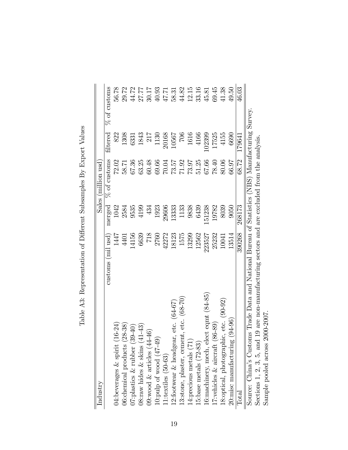| Industry                                                                                         |                   |        | Sales (million usd |          |                |
|--------------------------------------------------------------------------------------------------|-------------------|--------|--------------------|----------|----------------|
|                                                                                                  | customs (mil usd) | merged | $\%$ of customs    | filtered | $%$ of customs |
| 04:beverages $\&$ spirit (16-24)                                                                 | 1447              | 1042   | 72.02              | 822      | 56.78          |
| 06:chemical products (28-38)                                                                     | 4401              | 2584   | 58.71              | 1308     | 29.72          |
| $O7$ :plastics & rubber $(39-40)$                                                                | 14156             | 9535   | 67.36              | 6331     | 44.72          |
| $(1 - 43)$<br>$08$ :raw hides & skins (4                                                         | 6639              | 4199   | 63.25              | 1843     | 27.77          |
| 09: wood $\&$ articles $(44-46)$                                                                 | 718               | 434    | 60.48              | 217      | 30.17          |
| 10:pulp of wood $(47-49)$                                                                        | 2760              | 1923   | 69.66              | 1130     | 40.93          |
| $11$ :textiles $(50-63)$                                                                         | 42272             | 29606  | $70.04\,$          | 20168    | 47.71          |
| 12:footwear & headgear, etc. $(64-67)$                                                           | 18123             | 13333  | 73.57              | 10567    | 58.31          |
| 13:stone, plaster, cement, etc. (68-70)                                                          | 1575              | 1133   | 71.92              | 706      | 44.82          |
| 14: precious metals (71)                                                                         | 13299             | 9838   | 73.97              | 1616     | 12.15          |
| 15:base metals (72-83)                                                                           | 12562             | 6439   | 51.25              | 4166     | 33.16          |
| 16: machinery, mech, elect eqm $t$ $(84-85)$                                                     | 223527            | 151238 | 67.66              | 02399    | 45.81          |
| $86 - 89$<br>17: vehicles $\&$ aircraft (                                                        | 25232             | 19782  | 78.40              | 17525    | 69.45          |
| 18:optical, photographic, etc. (90-92)                                                           | 10041             | 8039   | 80.06              | 4155     | 41.38          |
| $20:\text{mise manufacturing} (94-96)$                                                           | 13514             | 9050   | 66.97              | 6690     | 49.50          |
| $\rm{Total}$                                                                                     | 390268            | 268173 | 68.72              | 179641   | 46.03          |
| Source: China's Customs Trade Data and National Bureau of Statistics (NBS) Manufacturing Survey. |                   |        |                    |          |                |
| Sections 1, 2, 3, 5, and 19 are non-manufacturing sectors and are excluded from the analysis.    |                   |        |                    |          |                |
| Sample pooled across 2000-2007                                                                   |                   |        |                    |          |                |

Table A3: Representation of Different Subsamples By Export Values Table A3: Representation of Different Subsamples By Export Values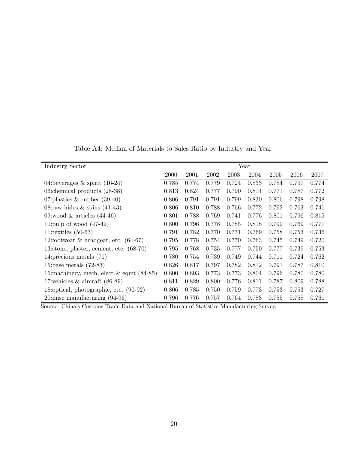Table A4: Median of Materials to Sales Ratio by Industry and Year

| <b>Industry Sector</b>                       |       |       |       |       | Year  |       |       |       |
|----------------------------------------------|-------|-------|-------|-------|-------|-------|-------|-------|
|                                              | 2000  | 2001  | 2002  | 2003  | 2004  | 2005  | 2006  | 2007  |
| 04:beverages $\&$ spirit (16-24)             | 0.785 | 0.774 | 0.779 | 0.724 | 0.833 | 0.784 | 0.797 | 0.774 |
| 06: chemical products $(28-38)$              | 0.813 | 0.824 | 0.777 | 0.790 | 0.814 | 0.771 | 0.787 | 0.772 |
| 07: plastics $\&$ rubber (39-40)             | 0.806 | 0.791 | 0.791 | 0.799 | 0.830 | 0.806 | 0.798 | 0.798 |
| 08: raw hides $\&$ skins (41-43)             | 0.806 | 0.810 | 0.788 | 0.766 | 0.772 | 0.792 | 0.763 | 0.741 |
| 09:wood $&$ articles $(44-46)$               | 0.801 | 0.788 | 0.769 | 0.741 | 0.776 | 0.801 | 0.796 | 0.815 |
| 10: pulp of wood $(47-49)$                   | 0.800 | 0.796 | 0.778 | 0.785 | 0.818 | 0.799 | 0.769 | 0.771 |
| 11:textiles $(50-63)$                        | 0.791 | 0.782 | 0.770 | 0.771 | 0.769 | 0.758 | 0.753 | 0.736 |
| 12:footwear $\&$ headgear, etc. (64-67)      | 0.795 | 0.778 | 0.754 | 0.770 | 0.763 | 0.745 | 0.749 | 0.720 |
| 13:stone, plaster, cement, etc. $(68-70)$    | 0.795 | 0.768 | 0.735 | 0.777 | 0.750 | 0.777 | 0.739 | 0.753 |
| 14: precious metals $(71)$                   | 0.780 | 0.754 | 0.739 | 0.749 | 0.744 | 0.711 | 0.724 | 0.762 |
| 15:base metals $(72-83)$                     | 0.826 | 0.817 | 0.797 | 0.782 | 0.812 | 0.791 | 0.787 | 0.810 |
| 16: machinery, mech, elect $\&$ eqmt (84-85) | 0.800 | 0.803 | 0.773 | 0.773 | 0.804 | 0.796 | 0.780 | 0.780 |
| 17: vehicles $\&$ aircraft (86-89)           | 0.811 | 0.829 | 0.800 | 0.776 | 0.811 | 0.787 | 0.809 | 0.788 |
| 18: optical, photographic, etc. (90-92)      | 0.806 | 0.785 | 0.750 | 0.759 | 0.773 | 0.753 | 0.753 | 0.727 |
| $20:$ misc manufacturing $(94-96)$           | 0.796 | 0.776 | 0.757 | 0.764 | 0.783 | 0.755 | 0.758 | 0.761 |

Source: Chinaís Customs Trade Data and National Bureau of Statistics Manufacturing Survey.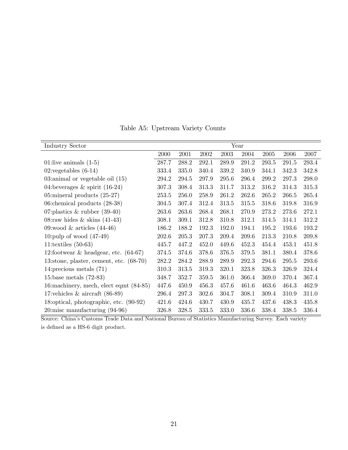| <b>Industry Sector</b>                     |       |       |       |       | Year  |       |       |       |
|--------------------------------------------|-------|-------|-------|-------|-------|-------|-------|-------|
|                                            | 2000  | 2001  | 2002  | 2003  | 2004  | 2005  | 2006  | 2007  |
| 01:live animals $(1-5)$                    | 287.7 | 288.2 | 292.1 | 289.9 | 291.2 | 293.5 | 291.5 | 293.4 |
| $02$ : vegetables $(6-14)$                 | 333.4 | 335.0 | 340.4 | 339.2 | 340.9 | 344.1 | 342.3 | 342.8 |
| 03:animal or vegetable oil $(15)$          | 294.2 | 294.5 | 297.9 | 295.6 | 296.4 | 299.2 | 297.3 | 298.0 |
| 04:beverages $\&$ spirit (16-24)           | 307.3 | 308.4 | 313.3 | 311.7 | 313.2 | 316.2 | 314.3 | 315.3 |
| 05: mineral products $(25-27)$             | 253.5 | 256.0 | 258.9 | 261.2 | 262.6 | 265.2 | 266.5 | 265.4 |
| 06: chemical products $(28-38)$            | 304.5 | 307.4 | 312.4 | 313.5 | 315.5 | 318.6 | 319.8 | 316.9 |
| 07: plastics $\&$ rubber (39-40)           | 263.6 | 263.6 | 268.4 | 268.1 | 270.9 | 273.2 | 273.6 | 272.1 |
| 08: raw hides $\&$ skins (41-43)           | 308.1 | 309.1 | 312.8 | 310.8 | 312.1 | 314.5 | 314.1 | 312.2 |
| 09:wood $&$ articles $(44-46)$             | 186.2 | 188.2 | 192.3 | 192.0 | 194.1 | 195.2 | 193.6 | 193.2 |
| 10: pulp of wood $(47-49)$                 | 202.6 | 205.3 | 207.3 | 209.4 | 209.6 | 213.3 | 210.8 | 209.8 |
| 11:textiles $(50-63)$                      | 445.7 | 447.2 | 452.0 | 449.6 | 452.3 | 454.4 | 453.1 | 451.8 |
| 12:footwear $\&$ headgear, etc. (64-67)    | 374.5 | 374.6 | 378.6 | 376.5 | 379.5 | 381.1 | 380.4 | 378.6 |
| 13:stone, plaster, cement, etc. $(68-70)$  | 282.2 | 284.2 | 288.9 | 289.9 | 292.3 | 294.6 | 295.5 | 293.6 |
| 14: precious metals $(71)$                 | 310.3 | 313.5 | 319.3 | 320.1 | 323.8 | 326.3 | 326.9 | 324.4 |
| 15:base metals $(72-83)$                   | 348.7 | 352.7 | 359.5 | 361.0 | 366.4 | 369.0 | 370.4 | 367.4 |
| 16: machinery, mech, elect eqmt (84-85)    | 447.6 | 450.9 | 456.3 | 457.6 | 461.6 | 463.6 | 464.3 | 462.9 |
| 17: vehicles $\&$ aircraft (86-89)         | 296.4 | 297.3 | 302.6 | 304.7 | 308.1 | 309.4 | 310.9 | 311.0 |
| 18: optical, photographic, etc. (90-92)    | 421.6 | 424.6 | 430.7 | 430.9 | 435.7 | 437.6 | 438.3 | 435.8 |
| $20 \text{.}$ misc manufacturing $(94-96)$ | 326.8 | 328.5 | 333.5 | 333.0 | 336.6 | 338.4 | 338.5 | 336.4 |

Table A5: Upstream Variety Counts

Source: Chinaís Customs Trade Data and National Bureau of Statistics Manufacturing Survey. Each variety is defined as a HS-6 digit product.  $\,$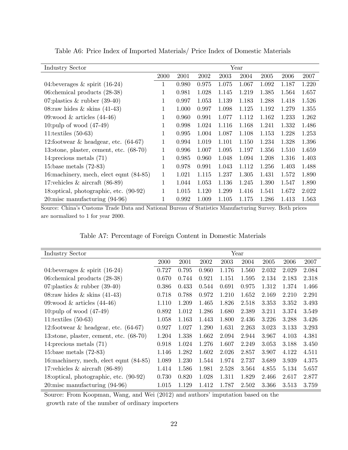| Industry Sector                            |      |       |       |       | Year  |       |       |       |
|--------------------------------------------|------|-------|-------|-------|-------|-------|-------|-------|
|                                            | 2000 | 2001  | 2002  | 2003  | 2004  | 2005  | 2006  | 2007  |
| 04:beverages $\&$ spirit (16-24)           | 1    | 0.980 | 0.975 | 1.075 | 1.067 | 1.092 | 1.187 | 1.220 |
| 06: chemical products $(28-38)$            | 1    | 0.981 | 1.028 | 1.145 | 1.219 | 1.385 | 1.564 | 1.657 |
| 07: plastics $\&$ rubber (39-40)           | 1    | 0.997 | 1.053 | 1.139 | 1.183 | 1.288 | 1.418 | 1.526 |
| 08: raw hides $\&$ skins (41-43)           | 1    | 1.000 | 0.997 | 1.098 | 1.125 | 1.192 | 1.279 | 1.355 |
| 09:wood & articles $(44-46)$               | 1    | 0.960 | 0.991 | 1.077 | 1.112 | 1.162 | 1.233 | 1.262 |
| 10: pulp of wood $(47-49)$                 | 1    | 0.998 | 1.024 | 1.116 | 1.168 | 1.241 | 1.332 | 1.486 |
| 11:textiles $(50-63)$                      | 1    | 0.995 | 1.004 | 1.087 | 1.108 | 1.153 | 1.228 | 1.253 |
| 12:footwear $\&$ headgear, etc. (64-67)    | 1    | 0.994 | 1.019 | 1.101 | 1.150 | 1.234 | 1.328 | 1.396 |
| 13:stone, plaster, cement, etc. $(68-70)$  | 1    | 0.996 | 1.007 | 1.095 | 1.197 | 1.356 | 1.510 | 1.659 |
| 14: precious metals $(71)$                 | 1    | 0.985 | 0.960 | 1.048 | 1.094 | 1.208 | 1.316 | 1.403 |
| 15:base metals $(72-83)$                   | 1    | 0.978 | 0.991 | 1.043 | 1.112 | 1.256 | 1.403 | 1.488 |
| 16: machinery, mech, elect eqmt (84-85)    | 1    | 1.021 | 1.115 | 1.237 | 1.305 | 1.431 | 1.572 | 1.890 |
| 17: vehicles $\&$ aircraft (86-89)         | 1    | 1.044 | 1.053 | 1.136 | 1.245 | 1.390 | 1.547 | 1.890 |
| 18: optical, photographic, etc. (90-92)    | 1    | 1.015 | 1.120 | 1.299 | 1.416 | 1.541 | 1.672 | 2.022 |
| $20 \text{:}$ misc manufacturing $(94-96)$ | 1    | 0.992 | 1.009 | 1.105 | 1.175 | 1.286 | 1.413 | 1.563 |

Table A6: Price Index of Imported Materials/ Price Index of Domestic Materials

Source: Chinaís Customs Trade Data and National Bureau of Statistics Manufacturing Survey. Both prices are normalized to 1 for year 2000.

| Table A7: Percentage of Foreign Content in Domestic Materials |  |  |  |  |
|---------------------------------------------------------------|--|--|--|--|
|---------------------------------------------------------------|--|--|--|--|

| <b>Industry Sector</b>                     |       |       |       |       | Year  |       |       |       |
|--------------------------------------------|-------|-------|-------|-------|-------|-------|-------|-------|
|                                            | 2000  | 2001  | 2002  | 2003  | 2004  | 2005  | 2006  | 2007  |
| 04:beverages $\&$ spirit (16-24)           | 0.727 | 0.795 | 0.960 | 1.176 | 1.560 | 2.032 | 2.029 | 2.084 |
| 06: chemical products $(28-38)$            | 0.670 | 0.744 | 0.921 | 1.151 | 1.595 | 2.134 | 2.183 | 2.318 |
| 07: plastics $\&$ rubber (39-40)           | 0.386 | 0.433 | 0.544 | 0.691 | 0.975 | 1.312 | 1.374 | 1.466 |
| 08: raw hides $\&$ skins (41-43)           | 0.718 | 0.788 | 0.972 | 1.210 | 1.652 | 2.169 | 2.210 | 2.291 |
| 09:wood $&$ articles $(44-46)$             | 1.110 | 1.209 | 1.465 | 1.826 | 2.518 | 3.353 | 3.352 | 3.493 |
| 10:pulp of wood $(47-49)$                  | 0.892 | 1.012 | 1.286 | 1.680 | 2.389 | 3.211 | 3.374 | 3.549 |
| 11:textiles $(50-63)$                      | 1.058 | 1.163 | 1.443 | 1.800 | 2.436 | 3.226 | 3.288 | 3.426 |
| 12:footwear $\&$ headgear, etc. (64-67)    | 0.927 | 1.027 | 1.290 | 1.631 | 2.263 | 3.023 | 3.133 | 3.293 |
| 13:stone, plaster, cement, etc. $(68-70)$  | 1.204 | 1.338 | 1.662 | 2.094 | 2.944 | 3.967 | 4.103 | 4.381 |
| 14: precious metals $(71)$                 | 0.918 | 1.024 | 1.276 | 1.607 | 2.249 | 3.053 | 3.188 | 3.450 |
| 15:base metals $(72-83)$                   | 1.146 | 1.282 | 1.602 | 2.026 | 2.857 | 3.907 | 4.122 | 4.511 |
| 16: machinery, mech, elect eqmt (84-85)    | 1.089 | 1.230 | 1.544 | 1.974 | 2.737 | 3.689 | 3.939 | 4.375 |
| 17: vehicles $\&$ aircraft (86-89)         | 1.414 | 1.586 | 1.981 | 2.528 | 3.564 | 4.855 | 5.134 | 5.657 |
| 18: optical, photographic, etc. (90-92)    | 0.730 | 0.820 | 1.028 | 1.311 | 1.829 | 2.466 | 2.617 | 2.877 |
| $20 \text{:}$ misc manufacturing $(94-96)$ | 1.015 | 1.129 | 1.412 | 1.787 | 2.502 | 3.366 | 3.513 | 3.759 |

Source: From Koopman, Wang, and Wei (2012) and authors' imputation based on the growth rate of the number of ordinary importers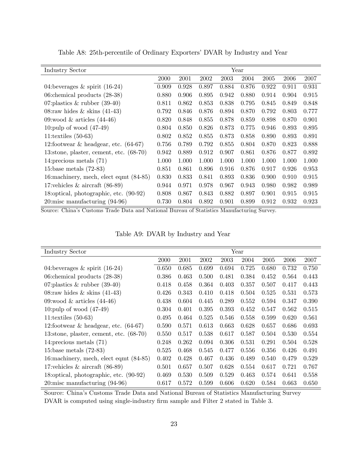| <b>Industry Sector</b>                     |       |       |       |       | Year  |       |       |       |
|--------------------------------------------|-------|-------|-------|-------|-------|-------|-------|-------|
|                                            | 2000  | 2001  | 2002  | 2003  | 2004  | 2005  | 2006  | 2007  |
| 04:beverages $\&$ spirit (16-24)           | 0.909 | 0.928 | 0.897 | 0.884 | 0.876 | 0.922 | 0.911 | 0.931 |
| 06: chemical products $(28-38)$            | 0.880 | 0.906 | 0.895 | 0.942 | 0.880 | 0.914 | 0.904 | 0.915 |
| 07: plastics $\&$ rubber (39-40)           | 0.811 | 0.862 | 0.853 | 0.838 | 0.795 | 0.845 | 0.849 | 0.848 |
| 08: raw hides $\&$ skins (41-43)           | 0.792 | 0.846 | 0.876 | 0.894 | 0.870 | 0.792 | 0.803 | 0.777 |
| 09:wood $\&$ articles (44-46)              | 0.820 | 0.848 | 0.855 | 0.878 | 0.859 | 0.898 | 0.870 | 0.901 |
| 10: pulp of wood $(47-49)$                 | 0.804 | 0.850 | 0.826 | 0.873 | 0.775 | 0.946 | 0.893 | 0.895 |
| 11:textiles $(50-63)$                      | 0.802 | 0.852 | 0.855 | 0.873 | 0.858 | 0.890 | 0.893 | 0.891 |
| 12:footwear $\&$ headgear, etc. $(64-67)$  | 0.756 | 0.789 | 0.792 | 0.855 | 0.804 | 0.870 | 0.823 | 0.888 |
| 13:stone, plaster, cement, etc. $(68-70)$  | 0.942 | 0.889 | 0.912 | 0.907 | 0.861 | 0.876 | 0.877 | 0.892 |
| 14: precious metals $(71)$                 | 1.000 | 1.000 | 1.000 | 1.000 | 1.000 | 1.000 | 1.000 | 1.000 |
| 15:base metals $(72-83)$                   | 0.851 | 0.861 | 0.896 | 0.916 | 0.876 | 0.917 | 0.926 | 0.953 |
| 16: machinery, mech, elect eqmt (84-85)    | 0.830 | 0.833 | 0.841 | 0.893 | 0.836 | 0.900 | 0.910 | 0.915 |
| 17: vehicles $\&$ aircraft (86-89)         | 0.944 | 0.971 | 0.978 | 0.967 | 0.943 | 0.980 | 0.982 | 0.989 |
| 18: optical, photographic, etc. (90-92)    | 0.808 | 0.867 | 0.843 | 0.882 | 0.897 | 0.901 | 0.915 | 0.915 |
| $20 \text{:}$ misc manufacturing $(94-96)$ | 0.730 | 0.804 | 0.892 | 0.901 | 0.899 | 0.912 | 0.932 | 0.923 |

Table A8: 25th-percentile of Ordinary Exporters' DVAR by Industry and Year

Source: Chinaís Customs Trade Data and National Bureau of Statistics Manufacturing Survey.

| Table A9: DVAR by Industry and Year |  |  |  |  |  |
|-------------------------------------|--|--|--|--|--|
|-------------------------------------|--|--|--|--|--|

| <b>Industry Sector</b>                     |       |       |       |       | Year  |       |       |       |
|--------------------------------------------|-------|-------|-------|-------|-------|-------|-------|-------|
|                                            | 2000  | 2001  | 2002  | 2003  | 2004  | 2005  | 2006  | 2007  |
| 04:beverages $\&$ spirit (16-24)           | 0.650 | 0.685 | 0.699 | 0.694 | 0.725 | 0.680 | 0.732 | 0.750 |
| 06: chemical products $(28-38)$            | 0.386 | 0.463 | 0.500 | 0.481 | 0.384 | 0.452 | 0.564 | 0.443 |
| 07: plastics $\&$ rubber (39-40)           | 0.418 | 0.458 | 0.364 | 0.403 | 0.357 | 0.507 | 0.417 | 0.443 |
| 08: raw hides $\&$ skins (41-43)           | 0.426 | 0.343 | 0.410 | 0.418 | 0.504 | 0.525 | 0.531 | 0.573 |
| 09:wood $&$ articles $(44-46)$             | 0.438 | 0.604 | 0.445 | 0.289 | 0.552 | 0.594 | 0.347 | 0.390 |
| 10: pulp of wood $(47-49)$                 | 0.304 | 0.401 | 0.395 | 0.393 | 0.452 | 0.547 | 0.562 | 0.515 |
| 11:textiles $(50-63)$                      | 0.495 | 0.464 | 0.525 | 0.546 | 0.558 | 0.599 | 0.620 | 0.561 |
| 12:footwear $\&$ headgear, etc. (64-67)    | 0.590 | 0.571 | 0.613 | 0.663 | 0.628 | 0.657 | 0.686 | 0.693 |
| 13:stone, plaster, cement, etc. $(68-70)$  | 0.550 | 0.517 | 0.538 | 0.617 | 0.587 | 0.504 | 0.530 | 0.554 |
| 14: precious metals $(71)$                 | 0.248 | 0.262 | 0.094 | 0.306 | 0.531 | 0.291 | 0.504 | 0.528 |
| 15:base metals $(72-83)$                   | 0.525 | 0.468 | 0.545 | 0.477 | 0.556 | 0.356 | 0.426 | 0.491 |
| 16: machinery, mech, elect eqmt (84-85)    | 0.402 | 0.428 | 0.467 | 0.436 | 0.489 | 0.540 | 0.479 | 0.529 |
| 17: vehicles $\&$ aircraft (86-89)         | 0.501 | 0.657 | 0.507 | 0.628 | 0.554 | 0.617 | 0.721 | 0.767 |
| 18: optical, photographic, etc. (90-92)    | 0.469 | 0.530 | 0.509 | 0.529 | 0.463 | 0.574 | 0.641 | 0.558 |
| $20 \text{:}$ misc manufacturing $(94-96)$ | 0.617 | 0.572 | 0.599 | 0.606 | 0.620 | 0.584 | 0.663 | 0.650 |

Source: Chinaís Customs Trade Data and National Bureau of Statistics Manufacturing Survey DVAR is computed using single-industry firm sample and Filter 2 stated in Table 3.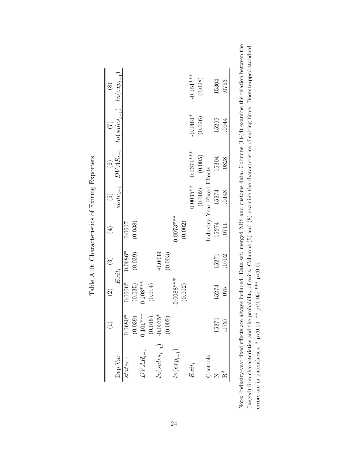|                   |                         | $\widehat{\infty}$ | $\widehat{\mathbb{C}}$ | $\overline{4}$ | $\widetilde{\mathbf{e}}$    | $\overline{6}$ |                                | $\circledast$  |
|-------------------|-------------------------|--------------------|------------------------|----------------|-----------------------------|----------------|--------------------------------|----------------|
| Dep Var           |                         |                    | $Ext_t$                |                | $state_{t-1}$               |                | $DVAR_{t-1}$ $ln(sales_{t-1})$ | $ln(exp_{t-1}$ |
| $state_{t-1}$     | 1.0680*                 | 1.0606*            | $0.0686*$              | 0.0617         |                             |                |                                |                |
|                   |                         | (0.035)            | (0.039)                | (0.038)        |                             |                |                                |                |
| $DVAR_{t-1}$      | $(0.039)$<br>$0.101***$ | $0.108***$         |                        |                |                             |                |                                |                |
|                   | (0.015)                 | (0.014)            |                        |                |                             |                |                                |                |
| $ln(sales_{t-1})$ | $-0.0035*$              |                    | $-0.0039$              |                |                             |                |                                |                |
|                   | (0.002)                 |                    | (0.003)                |                |                             |                |                                |                |
| $ln(exp_{t-1})$   |                         | $0.0088***$        |                        | $-0.0073***$   |                             |                |                                |                |
|                   |                         | (0.002)            |                        | (0.002)        |                             |                |                                |                |
| $Exit_t$          |                         |                    |                        |                | $0.0035**$                  | $0.0374***$    | $-0.0461*$                     | $-0.151***$    |
|                   |                         |                    |                        |                | (0.002)                     | (0.005)        | (0.026)                        | (0.028)        |
| Controls          |                         |                    |                        |                | Industry-Year Fixed Effects |                |                                |                |
|                   | 15271                   | 15274              | 15271                  | 15274          | 15274                       | 15304          | 15299                          | 15304          |
| $\tilde{c}$       | 0737                    | 075                | 0702                   | 0711           | .0148                       | .0828          | 0944                           | 0753           |

Table A10: Characteristics of Exiting Exporters Table A10: Characteristics of Exiting Exporters Note: Industry-year fixed effects are always included. Data set: merged NBS and customs data. Columns (1)-(4) examine the relation between the (lagged) firm characteristics and the probability of exits. Columns  $(5)$  and  $(8)$  examine the characteristics of exiting firms. Bootstrapped standard Note: Industry-year fixed effects are always included. Data set: merged NBS and customs data. Columns (1)-(4) examine the relation between the (lagged) firm characteristics and the probability of exits. Columns (5) and (8) examine the characteristics of exiting firms. Bootstrapped standard errors are in parentheses. \* p<0.10, \*\* p<0.05, \*\*\* p<0.01. errors are in parentheses. \* p<0.10; \*\* p<0.05; \*\*\* p<0.01.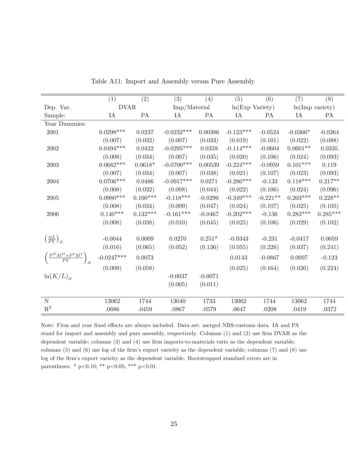|                                                                                                          | (1)          | (2)        | (3)                  | (4)                  | (5)                | (6)        | (7)                | (8)                |
|----------------------------------------------------------------------------------------------------------|--------------|------------|----------------------|----------------------|--------------------|------------|--------------------|--------------------|
| Dep. Var.                                                                                                | <b>DVAR</b>  |            | Imp/Material         |                      | $ln(Exp\;Variety)$ |            | $ln(Imp\ variety)$ |                    |
| Sample:                                                                                                  | IA           | PA         | IA                   | PA                   | IA                 | PA         | IA                 | PA                 |
| Year Dummies:                                                                                            |              |            |                      |                      |                    |            |                    |                    |
| 2001                                                                                                     | $0.0298***$  | 0.0237     | $-0.0232***$         | 0.00386              | $-0.123***$        | $-0.0524$  | $-0.0366*$         | $-0.0264$          |
|                                                                                                          | (0.007)      | (0.032)    | (0.007)              | (0.033)              | (0.019)            | (0.101)    | (0.022)            | (0.088)            |
| 2002                                                                                                     | $0.0494***$  | 0.0422     | $-0.0295***$         | $\,0.0359\,$         | $-0.114***$        | $-0.0604$  | $0.0601**$         | 0.0335             |
|                                                                                                          | (0.008)      | (0.034)    | (0.007)              | (0.035)              | (0.020)            | (0.106)    | (0.024)            | (0.093)            |
| 2003                                                                                                     | $0.0682***$  | $0.0618*$  | $-0.0700***$         | 0.00539              | $-0.224***$        | $-0.0959$  | $0.101***$         | 0.119              |
|                                                                                                          | (0.007)      | (0.034)    | (0.007)              | (0.038)              | (0.021)            | (0.107)    | (0.023)            | (0.093)            |
| 2004                                                                                                     | $0.0706***$  | 0.0486     | $-0.0917***$         | 0.0271               | $-0.286***$        | $-0.133$   | $0.118***$         | $0.217**$          |
|                                                                                                          | (0.008)      | (0.032)    | (0.008)              | (0.044)              | (0.022)            | (0.106)    | (0.024)            | (0.096)            |
| 2005                                                                                                     | $0.0980***$  | $0.100***$ | $-0.118***$          | $-0.0290$            | $-0.349***$        | $-0.221**$ | $0.203***$         | $0.228**$          |
|                                                                                                          | (0.008)      | (0.034)    | (0.009)              | (0.047)              | (0.024)            | (0.107)    | (0.025)            | (0.105)            |
| 2006                                                                                                     | $0.140***$   | $0.132***$ | $-0.161***$          | $-0.0467$            | $-0.202***$        | $-0.136$   | $0.283***$         | $0.285***$         |
|                                                                                                          | (0.008)      | (0.038)    | (0.010)              | (0.045)              | (0.025)            | (0.106)    | (0.029)            | (0.102)            |
|                                                                                                          |              |            |                      |                      |                    |            |                    |                    |
|                                                                                                          | $-0.0044$    | $0.0009\,$ | 0.0270               | $0.251*$             | $-0.0343$          | $-0.231$   | $-0.0417$          | 0.0059             |
|                                                                                                          | (0.016)      | (0.065)    | (0.052)              | (0.136)              | (0.055)            | (0.226)    | (0.037)            |                    |
|                                                                                                          | $-0.0247***$ | 0.0073     |                      |                      | 0.0143             | $-0.0867$  | 0.0097             | $-0.123$           |
|                                                                                                          |              |            |                      |                      |                    |            |                    |                    |
|                                                                                                          |              |            |                      |                      |                    |            |                    |                    |
|                                                                                                          |              |            |                      |                      |                    |            |                    |                    |
|                                                                                                          |              |            |                      |                      |                    |            |                    |                    |
| $\overline{N}$                                                                                           | 13062        | 1744       | 13040                | 1733                 | 13062              | 1744       | 13062              | 1744               |
| $\mathbf{R}^2$                                                                                           | .0686        | .0459      | .0867                | .0579                | .0647              | .0208      | .0419              | .0372              |
| $\left(\frac{wL}{PY}\right)_{it}$<br>$\left(\frac{P^D M^D + P^I M^I}{P Y}\right)_{it}$<br>$ln(K/L)_{it}$ | (0.009)      | (0.058)    | $-0.0037$<br>(0.005) | $-0.0071$<br>(0.011) | (0.025)            | (0.164)    | (0.026)            | (0.241)<br>(0.224) |

Table A11: Import and Assembly versus Pure Assembly

Note: Firm and year fixed effects are always included. Data set: merged NBS-customs data. IA and PA stand for import and assembly and pure assembly, respectively. Columns (1) and (2) use firm DVAR as the dependent variable; columns  $(3)$  and  $(4)$  use firm imports-to-materials ratio as the dependent variable; columns  $(5)$  and  $(6)$  use log of the firm's export varieity as the dependent variable; columns  $(7)$  and  $(8)$  use log of the firm's export varieity as the dependent variable. Bootstrapped standard errors are in parentheses. \* p<0.10; \*\* p<0.05; \*\*\* p<0.01.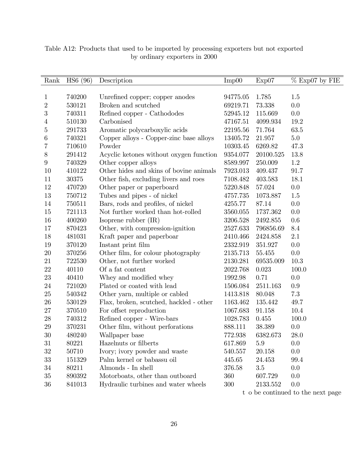| Rank           | HS6 (96) | Description                             | Imp00    | Exp07     | $%$ Exp07 by FIE |
|----------------|----------|-----------------------------------------|----------|-----------|------------------|
|                |          |                                         |          |           |                  |
| $\mathbf 1$    | 740200   | Unrefined copper; copper anodes         | 94775.05 | 1.785     | $1.5\,$          |
| $\overline{2}$ | 530121   | Broken and scutched                     | 69219.71 | 73.338    | 0.0              |
| 3              | 740311   | Refined copper - Cathododes             | 52945.12 | 115.669   | 0.0              |
| 4              | 510130   | Carbonised                              | 47167.51 | 4099.934  | 19.2             |
| 5              | 291733   | Aromatic polycarboxylic acids           | 22195.56 | 71.764    | 63.5             |
| 6              | 740321   | Copper alloys - Copper-zinc base alloys | 13405.72 | 21.957    | $5.0\,$          |
| 7              | 710610   | Powder                                  | 10303.45 | 6269.82   | 47.3             |
| 8              | 291412   | Acyclic ketones without oxygen function | 9354.077 | 20100.525 | 13.8             |
| $9\phantom{.}$ | 740329   | Other copper alloys                     | 8589.997 | 250.009   | 1.2              |
| 10             | 410122   | Other hides and skins of bovine animals | 7923.013 | 409.437   | 91.7             |
| 11             | 30375    | Other fish, excluding livers and roes   | 7108.482 | 403.583   | 18.1             |
| 12             | 470720   | Other paper or paperboard               | 5220.848 | 57.024    | 0.0              |
| 13             | 750712   | Tubes and pipes - of nickel             | 4757.735 | 1073.887  | $1.5\,$          |
| 14             | 750511   | Bars, rods and profiles, of nickel      | 4255.77  | 87.14     | 0.0              |
| 15             | 721113   | Not further worked than hot-rolled      | 3560.055 | 1737.362  | 0.0              |
| 16             | 400260   | Isoprene rubber $(IR)$                  | 3206.528 | 2492.855  | 0.6              |
| 17             | 870423   | Other, with compression-ignition        | 2527.633 | 796856.69 | 8.4              |
| 18             | 481031   | Kraft paper and paperboar               | 2410.466 | 2424.858  | 2.1              |
| 19             | 370120   | Instant print film                      | 2332.919 | 351.927   | 0.0              |
| 20             | 370256   | Other film, for colour photography      | 2135.713 | 55.455    | 0.0              |
| 21             | 722530   | Other, not further worked               | 2130.281 | 69535.009 | 10.3             |
| 22             | 40110    | Of a fat content                        | 2022.768 | 0.023     | 100.0            |
| 23             | 40410    | Whey and modified whey                  | 1992.98  | 0.71      | 0.0              |
| 24             | 721020   | Plated or coated with lead              | 1506.084 | 2511.163  | 0.9              |
| 25             | 540342   | Other yarn, multiple or cabled          | 1413.818 | 80.048    | 7.3              |
| 26             | 530129   | Flax, broken, scutched, hackled - other | 1163.462 | 135.442   | 49.7             |
| 27             | 370510   | For offset reproduction                 | 1067.683 | 91.158    | 10.4             |
| 28             | 740312   | Refined copper - Wire-bars              | 1028.783 | 0.455     | 100.0            |
| 29             | 370231   | Other film, without perforations        | 888.111  | 38.389    | 0.0              |
| 30             | 480240   | Wallpaper base                          | 772.938  | 6382.673  | 28.0             |
| 31             | 80221    | Hazelnuts or filberts                   | 617.869  | $5.9\,$   | 0.0              |
| 32             | 50710    | Ivory; ivory powder and waste           | 540.557  | 20.158    | 0.0              |
| 33             | 151329   | Palm kernel or babassu oil              | 445.65   | 24.453    | 99.4             |
| 34             | 80211    | Almonds - In shell                      | 376.58   | 3.5       | 0.0              |
| 35             | 890392   | Motorboats, other than outboard         | 360      | 607.729   | 0.0              |
| 36             | 841013   | Hydraulic turbines and water wheels     | 300      | 2133.552  | 0.0              |
|                |          |                                         |          |           |                  |

Table A12: Products that used to be imported by processing exporters but not exported by ordinary exporters in 2000

t o be continued to the next page